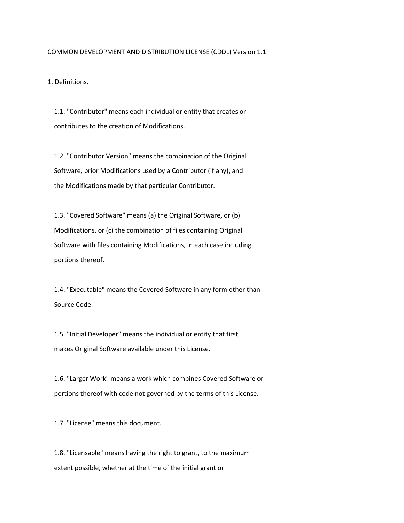### COMMON DEVELOPMENT AND DISTRIBUTION LICENSE (CDDL) Version 1.1

1. Definitions.

 1.1. "Contributor" means each individual or entity that creates or contributes to the creation of Modifications.

 1.2. "Contributor Version" means the combination of the Original Software, prior Modifications used by a Contributor (if any), and the Modifications made by that particular Contributor.

 1.3. "Covered Software" means (a) the Original Software, or (b) Modifications, or (c) the combination of files containing Original Software with files containing Modifications, in each case including portions thereof.

 1.4. "Executable" means the Covered Software in any form other than Source Code.

 1.5. "Initial Developer" means the individual or entity that first makes Original Software available under this License.

 1.6. "Larger Work" means a work which combines Covered Software or portions thereof with code not governed by the terms of this License.

1.7. "License" means this document.

 1.8. "Licensable" means having the right to grant, to the maximum extent possible, whether at the time of the initial grant or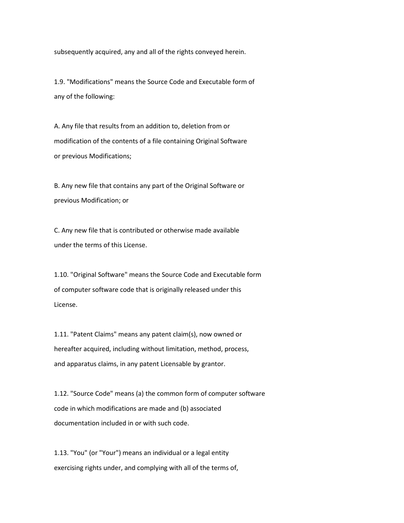subsequently acquired, any and all of the rights conveyed herein.

 1.9. "Modifications" means the Source Code and Executable form of any of the following:

 A. Any file that results from an addition to, deletion from or modification of the contents of a file containing Original Software or previous Modifications;

 B. Any new file that contains any part of the Original Software or previous Modification; or

 C. Any new file that is contributed or otherwise made available under the terms of this License.

 1.10. "Original Software" means the Source Code and Executable form of computer software code that is originally released under this License.

 1.11. "Patent Claims" means any patent claim(s), now owned or hereafter acquired, including without limitation, method, process, and apparatus claims, in any patent Licensable by grantor.

 1.12. "Source Code" means (a) the common form of computer software code in which modifications are made and (b) associated documentation included in or with such code.

 1.13. "You" (or "Your") means an individual or a legal entity exercising rights under, and complying with all of the terms of,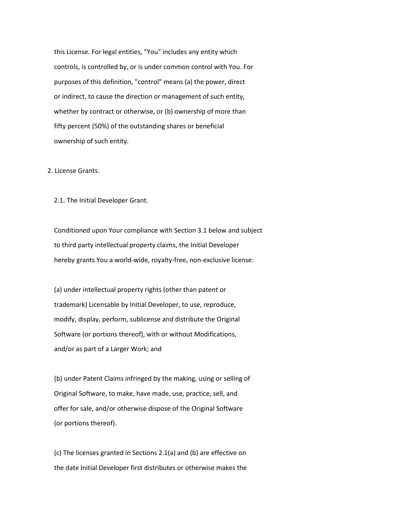this License. For legal entities, "You" includes any entity which controls, is controlled by, or is under common control with You. For purposes of this definition, "control" means (a) the power, direct or indirect, to cause the direction or management of such entity, whether by contract or otherwise, or (b) ownership of more than fifty percent (50%) of the outstanding shares or beneficial ownership of such entity.

2. License Grants.

2.1. The Initial Developer Grant.

 Conditioned upon Your compliance with Section 3.1 below and subject to third party intellectual property claims, the Initial Developer hereby grants You a world-wide, royalty-free, non-exclusive license:

 (a) under intellectual property rights (other than patent or trademark) Licensable by Initial Developer, to use, reproduce, modify, display, perform, sublicense and distribute the Original Software (or portions thereof), with or without Modifications, and/or as part of a Larger Work; and

 (b) under Patent Claims infringed by the making, using or selling of Original Software, to make, have made, use, practice, sell, and offer for sale, and/or otherwise dispose of the Original Software (or portions thereof).

 (c) The licenses granted in Sections 2.1(a) and (b) are effective on the date Initial Developer first distributes or otherwise makes the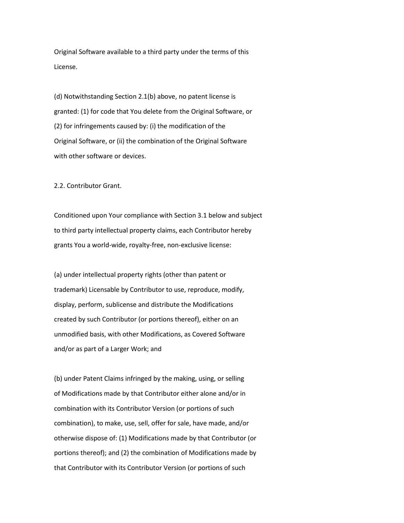Original Software available to a third party under the terms of this License.

 (d) Notwithstanding Section 2.1(b) above, no patent license is granted: (1) for code that You delete from the Original Software, or (2) for infringements caused by: (i) the modification of the Original Software, or (ii) the combination of the Original Software with other software or devices.

2.2. Contributor Grant.

 Conditioned upon Your compliance with Section 3.1 below and subject to third party intellectual property claims, each Contributor hereby grants You a world-wide, royalty-free, non-exclusive license:

 (a) under intellectual property rights (other than patent or trademark) Licensable by Contributor to use, reproduce, modify, display, perform, sublicense and distribute the Modifications created by such Contributor (or portions thereof), either on an unmodified basis, with other Modifications, as Covered Software and/or as part of a Larger Work; and

 (b) under Patent Claims infringed by the making, using, or selling of Modifications made by that Contributor either alone and/or in combination with its Contributor Version (or portions of such combination), to make, use, sell, offer for sale, have made, and/or otherwise dispose of: (1) Modifications made by that Contributor (or portions thereof); and (2) the combination of Modifications made by that Contributor with its Contributor Version (or portions of such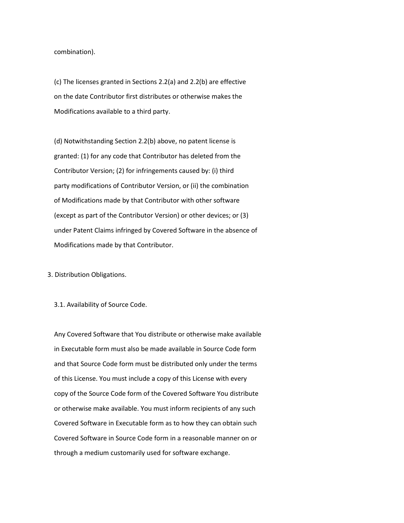combination).

 (c) The licenses granted in Sections 2.2(a) and 2.2(b) are effective on the date Contributor first distributes or otherwise makes the Modifications available to a third party.

 (d) Notwithstanding Section 2.2(b) above, no patent license is granted: (1) for any code that Contributor has deleted from the Contributor Version; (2) for infringements caused by: (i) third party modifications of Contributor Version, or (ii) the combination of Modifications made by that Contributor with other software (except as part of the Contributor Version) or other devices; or (3) under Patent Claims infringed by Covered Software in the absence of Modifications made by that Contributor.

3. Distribution Obligations.

3.1. Availability of Source Code.

 Any Covered Software that You distribute or otherwise make available in Executable form must also be made available in Source Code form and that Source Code form must be distributed only under the terms of this License. You must include a copy of this License with every copy of the Source Code form of the Covered Software You distribute or otherwise make available. You must inform recipients of any such Covered Software in Executable form as to how they can obtain such Covered Software in Source Code form in a reasonable manner on or through a medium customarily used for software exchange.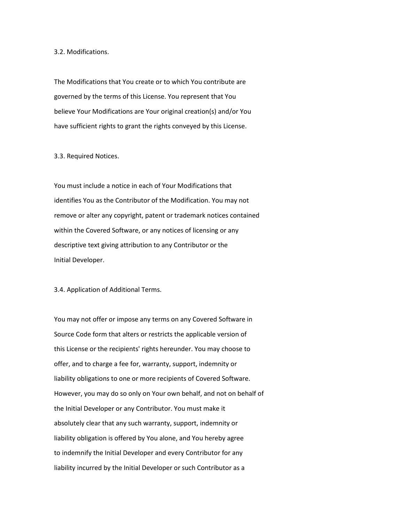### 3.2. Modifications.

 The Modifications that You create or to which You contribute are governed by the terms of this License. You represent that You believe Your Modifications are Your original creation(s) and/or You have sufficient rights to grant the rights conveyed by this License.

3.3. Required Notices.

 You must include a notice in each of Your Modifications that identifies You as the Contributor of the Modification. You may not remove or alter any copyright, patent or trademark notices contained within the Covered Software, or any notices of licensing or any descriptive text giving attribution to any Contributor or the Initial Developer.

3.4. Application of Additional Terms.

 You may not offer or impose any terms on any Covered Software in Source Code form that alters or restricts the applicable version of this License or the recipients' rights hereunder. You may choose to offer, and to charge a fee for, warranty, support, indemnity or liability obligations to one or more recipients of Covered Software. However, you may do so only on Your own behalf, and not on behalf of the Initial Developer or any Contributor. You must make it absolutely clear that any such warranty, support, indemnity or liability obligation is offered by You alone, and You hereby agree to indemnify the Initial Developer and every Contributor for any liability incurred by the Initial Developer or such Contributor as a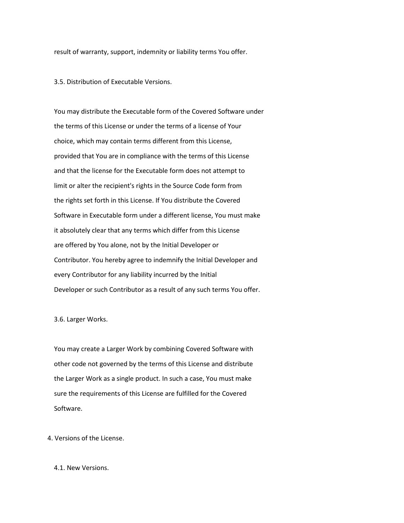result of warranty, support, indemnity or liability terms You offer.

3.5. Distribution of Executable Versions.

 You may distribute the Executable form of the Covered Software under the terms of this License or under the terms of a license of Your choice, which may contain terms different from this License, provided that You are in compliance with the terms of this License and that the license for the Executable form does not attempt to limit or alter the recipient's rights in the Source Code form from the rights set forth in this License. If You distribute the Covered Software in Executable form under a different license, You must make it absolutely clear that any terms which differ from this License are offered by You alone, not by the Initial Developer or Contributor. You hereby agree to indemnify the Initial Developer and every Contributor for any liability incurred by the Initial Developer or such Contributor as a result of any such terms You offer.

## 3.6. Larger Works.

 You may create a Larger Work by combining Covered Software with other code not governed by the terms of this License and distribute the Larger Work as a single product. In such a case, You must make sure the requirements of this License are fulfilled for the Covered Software.

4. Versions of the License.

### 4.1. New Versions.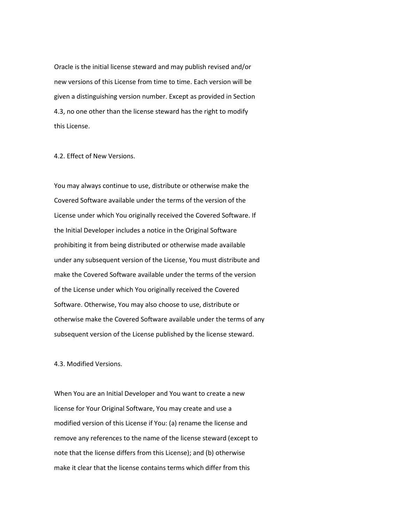Oracle is the initial license steward and may publish revised and/or new versions of this License from time to time. Each version will be given a distinguishing version number. Except as provided in Section 4.3, no one other than the license steward has the right to modify this License.

# 4.2. Effect of New Versions.

 You may always continue to use, distribute or otherwise make the Covered Software available under the terms of the version of the License under which You originally received the Covered Software. If the Initial Developer includes a notice in the Original Software prohibiting it from being distributed or otherwise made available under any subsequent version of the License, You must distribute and make the Covered Software available under the terms of the version of the License under which You originally received the Covered Software. Otherwise, You may also choose to use, distribute or otherwise make the Covered Software available under the terms of any subsequent version of the License published by the license steward.

### 4.3. Modified Versions.

 When You are an Initial Developer and You want to create a new license for Your Original Software, You may create and use a modified version of this License if You: (a) rename the license and remove any references to the name of the license steward (except to note that the license differs from this License); and (b) otherwise make it clear that the license contains terms which differ from this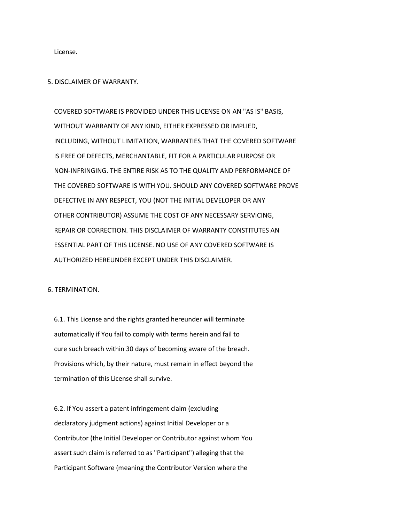License.

#### 5. DISCLAIMER OF WARRANTY.

 COVERED SOFTWARE IS PROVIDED UNDER THIS LICENSE ON AN "AS IS" BASIS, WITHOUT WARRANTY OF ANY KIND, EITHER EXPRESSED OR IMPLIED, INCLUDING, WITHOUT LIMITATION, WARRANTIES THAT THE COVERED SOFTWARE IS FREE OF DEFECTS, MERCHANTABLE, FIT FOR A PARTICULAR PURPOSE OR NON-INFRINGING. THE ENTIRE RISK AS TO THE QUALITY AND PERFORMANCE OF THE COVERED SOFTWARE IS WITH YOU. SHOULD ANY COVERED SOFTWARE PROVE DEFECTIVE IN ANY RESPECT, YOU (NOT THE INITIAL DEVELOPER OR ANY OTHER CONTRIBUTOR) ASSUME THE COST OF ANY NECESSARY SERVICING, REPAIR OR CORRECTION. THIS DISCLAIMER OF WARRANTY CONSTITUTES AN ESSENTIAL PART OF THIS LICENSE. NO USE OF ANY COVERED SOFTWARE IS AUTHORIZED HEREUNDER EXCEPT UNDER THIS DISCLAIMER.

6. TERMINATION.

 6.1. This License and the rights granted hereunder will terminate automatically if You fail to comply with terms herein and fail to cure such breach within 30 days of becoming aware of the breach. Provisions which, by their nature, must remain in effect beyond the termination of this License shall survive.

 6.2. If You assert a patent infringement claim (excluding declaratory judgment actions) against Initial Developer or a Contributor (the Initial Developer or Contributor against whom You assert such claim is referred to as "Participant") alleging that the Participant Software (meaning the Contributor Version where the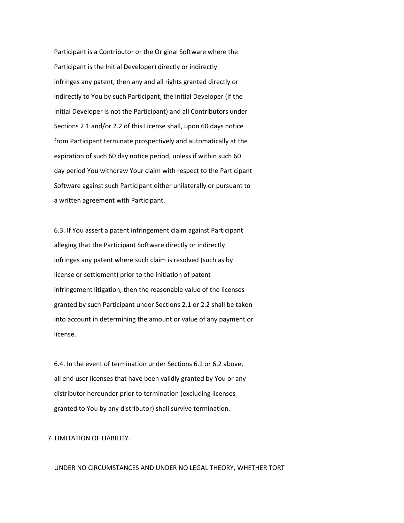Participant is a Contributor or the Original Software where the Participant is the Initial Developer) directly or indirectly infringes any patent, then any and all rights granted directly or indirectly to You by such Participant, the Initial Developer (if the Initial Developer is not the Participant) and all Contributors under Sections 2.1 and/or 2.2 of this License shall, upon 60 days notice from Participant terminate prospectively and automatically at the expiration of such 60 day notice period, unless if within such 60 day period You withdraw Your claim with respect to the Participant Software against such Participant either unilaterally or pursuant to a written agreement with Participant.

 6.3. If You assert a patent infringement claim against Participant alleging that the Participant Software directly or indirectly infringes any patent where such claim is resolved (such as by license or settlement) prior to the initiation of patent infringement litigation, then the reasonable value of the licenses granted by such Participant under Sections 2.1 or 2.2 shall be taken into account in determining the amount or value of any payment or license.

 6.4. In the event of termination under Sections 6.1 or 6.2 above, all end user licenses that have been validly granted by You or any distributor hereunder prior to termination (excluding licenses granted to You by any distributor) shall survive termination.

7. LIMITATION OF LIABILITY.

### UNDER NO CIRCUMSTANCES AND UNDER NO LEGAL THEORY, WHETHER TORT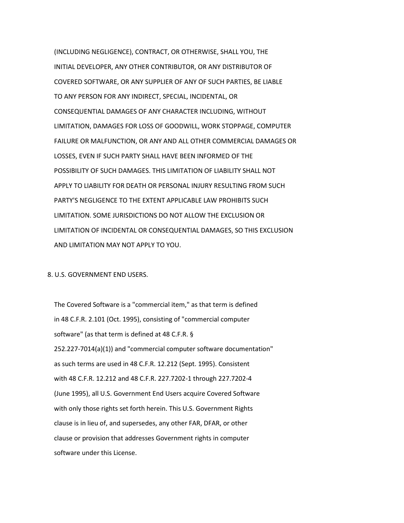(INCLUDING NEGLIGENCE), CONTRACT, OR OTHERWISE, SHALL YOU, THE INITIAL DEVELOPER, ANY OTHER CONTRIBUTOR, OR ANY DISTRIBUTOR OF COVERED SOFTWARE, OR ANY SUPPLIER OF ANY OF SUCH PARTIES, BE LIABLE TO ANY PERSON FOR ANY INDIRECT, SPECIAL, INCIDENTAL, OR CONSEQUENTIAL DAMAGES OF ANY CHARACTER INCLUDING, WITHOUT LIMITATION, DAMAGES FOR LOSS OF GOODWILL, WORK STOPPAGE, COMPUTER FAILURE OR MALFUNCTION, OR ANY AND ALL OTHER COMMERCIAL DAMAGES OR LOSSES, EVEN IF SUCH PARTY SHALL HAVE BEEN INFORMED OF THE POSSIBILITY OF SUCH DAMAGES. THIS LIMITATION OF LIABILITY SHALL NOT APPLY TO LIABILITY FOR DEATH OR PERSONAL INJURY RESULTING FROM SUCH PARTY'S NEGLIGENCE TO THE EXTENT APPLICABLE LAW PROHIBITS SUCH LIMITATION. SOME JURISDICTIONS DO NOT ALLOW THE EXCLUSION OR LIMITATION OF INCIDENTAL OR CONSEQUENTIAL DAMAGES, SO THIS EXCLUSION AND LIMITATION MAY NOT APPLY TO YOU.

8. U.S. GOVERNMENT END USERS.

 The Covered Software is a "commercial item," as that term is defined in 48 C.F.R. 2.101 (Oct. 1995), consisting of "commercial computer software" (as that term is defined at 48 C.F.R. § 252.227-7014(a)(1)) and "commercial computer software documentation" as such terms are used in 48 C.F.R. 12.212 (Sept. 1995). Consistent with 48 C.F.R. 12.212 and 48 C.F.R. 227.7202-1 through 227.7202-4 (June 1995), all U.S. Government End Users acquire Covered Software with only those rights set forth herein. This U.S. Government Rights clause is in lieu of, and supersedes, any other FAR, DFAR, or other clause or provision that addresses Government rights in computer software under this License.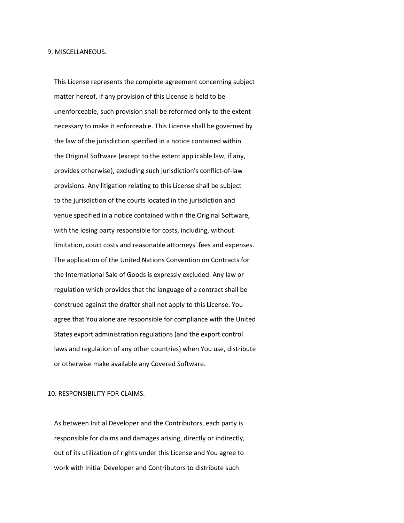This License represents the complete agreement concerning subject matter hereof. If any provision of this License is held to be unenforceable, such provision shall be reformed only to the extent necessary to make it enforceable. This License shall be governed by the law of the jurisdiction specified in a notice contained within the Original Software (except to the extent applicable law, if any, provides otherwise), excluding such jurisdiction's conflict-of-law provisions. Any litigation relating to this License shall be subject to the jurisdiction of the courts located in the jurisdiction and venue specified in a notice contained within the Original Software, with the losing party responsible for costs, including, without limitation, court costs and reasonable attorneys' fees and expenses. The application of the United Nations Convention on Contracts for the International Sale of Goods is expressly excluded. Any law or regulation which provides that the language of a contract shall be construed against the drafter shall not apply to this License. You agree that You alone are responsible for compliance with the United States export administration regulations (and the export control laws and regulation of any other countries) when You use, distribute or otherwise make available any Covered Software.

### 10. RESPONSIBILITY FOR CLAIMS.

 As between Initial Developer and the Contributors, each party is responsible for claims and damages arising, directly or indirectly, out of its utilization of rights under this License and You agree to work with Initial Developer and Contributors to distribute such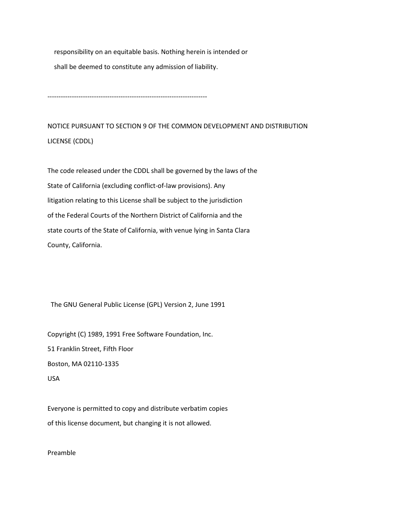responsibility on an equitable basis. Nothing herein is intended or shall be deemed to constitute any admission of liability.

------------------------------------------------------------------------

NOTICE PURSUANT TO SECTION 9 OF THE COMMON DEVELOPMENT AND DISTRIBUTION LICENSE (CDDL)

The code released under the CDDL shall be governed by the laws of the State of California (excluding conflict-of-law provisions). Any litigation relating to this License shall be subject to the jurisdiction of the Federal Courts of the Northern District of California and the state courts of the State of California, with venue lying in Santa Clara County, California.

The GNU General Public License (GPL) Version 2, June 1991

Copyright (C) 1989, 1991 Free Software Foundation, Inc. 51 Franklin Street, Fifth Floor Boston, MA 02110-1335 USA

Everyone is permitted to copy and distribute verbatim copies of this license document, but changing it is not allowed.

Preamble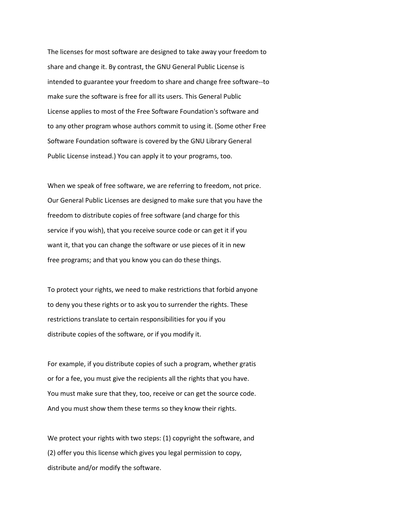The licenses for most software are designed to take away your freedom to share and change it. By contrast, the GNU General Public License is intended to guarantee your freedom to share and change free software--to make sure the software is free for all its users. This General Public License applies to most of the Free Software Foundation's software and to any other program whose authors commit to using it. (Some other Free Software Foundation software is covered by the GNU Library General Public License instead.) You can apply it to your programs, too.

When we speak of free software, we are referring to freedom, not price. Our General Public Licenses are designed to make sure that you have the freedom to distribute copies of free software (and charge for this service if you wish), that you receive source code or can get it if you want it, that you can change the software or use pieces of it in new free programs; and that you know you can do these things.

To protect your rights, we need to make restrictions that forbid anyone to deny you these rights or to ask you to surrender the rights. These restrictions translate to certain responsibilities for you if you distribute copies of the software, or if you modify it.

For example, if you distribute copies of such a program, whether gratis or for a fee, you must give the recipients all the rights that you have. You must make sure that they, too, receive or can get the source code. And you must show them these terms so they know their rights.

We protect your rights with two steps: (1) copyright the software, and (2) offer you this license which gives you legal permission to copy, distribute and/or modify the software.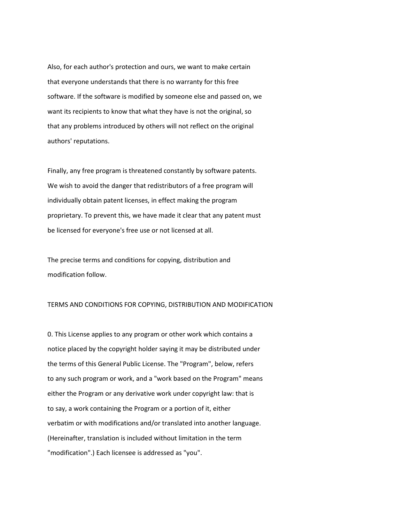Also, for each author's protection and ours, we want to make certain that everyone understands that there is no warranty for this free software. If the software is modified by someone else and passed on, we want its recipients to know that what they have is not the original, so that any problems introduced by others will not reflect on the original authors' reputations.

Finally, any free program is threatened constantly by software patents. We wish to avoid the danger that redistributors of a free program will individually obtain patent licenses, in effect making the program proprietary. To prevent this, we have made it clear that any patent must be licensed for everyone's free use or not licensed at all.

The precise terms and conditions for copying, distribution and modification follow.

## TERMS AND CONDITIONS FOR COPYING, DISTRIBUTION AND MODIFICATION

0. This License applies to any program or other work which contains a notice placed by the copyright holder saying it may be distributed under the terms of this General Public License. The "Program", below, refers to any such program or work, and a "work based on the Program" means either the Program or any derivative work under copyright law: that is to say, a work containing the Program or a portion of it, either verbatim or with modifications and/or translated into another language. (Hereinafter, translation is included without limitation in the term "modification".) Each licensee is addressed as "you".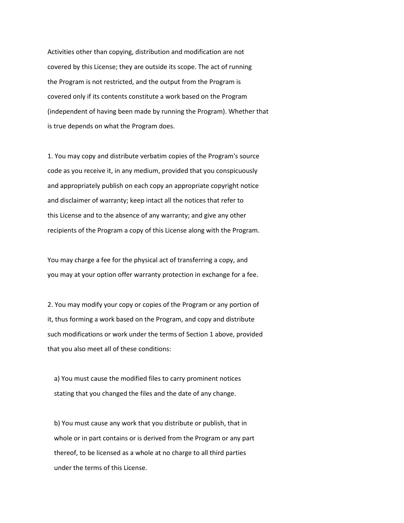Activities other than copying, distribution and modification are not covered by this License; they are outside its scope. The act of running the Program is not restricted, and the output from the Program is covered only if its contents constitute a work based on the Program (independent of having been made by running the Program). Whether that is true depends on what the Program does.

1. You may copy and distribute verbatim copies of the Program's source code as you receive it, in any medium, provided that you conspicuously and appropriately publish on each copy an appropriate copyright notice and disclaimer of warranty; keep intact all the notices that refer to this License and to the absence of any warranty; and give any other recipients of the Program a copy of this License along with the Program.

You may charge a fee for the physical act of transferring a copy, and you may at your option offer warranty protection in exchange for a fee.

2. You may modify your copy or copies of the Program or any portion of it, thus forming a work based on the Program, and copy and distribute such modifications or work under the terms of Section 1 above, provided that you also meet all of these conditions:

 a) You must cause the modified files to carry prominent notices stating that you changed the files and the date of any change.

 b) You must cause any work that you distribute or publish, that in whole or in part contains or is derived from the Program or any part thereof, to be licensed as a whole at no charge to all third parties under the terms of this License.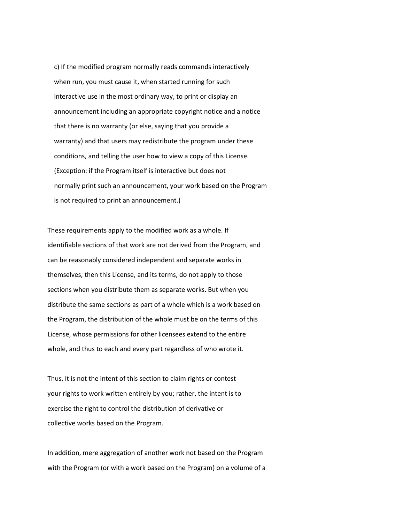c) If the modified program normally reads commands interactively when run, you must cause it, when started running for such interactive use in the most ordinary way, to print or display an announcement including an appropriate copyright notice and a notice that there is no warranty (or else, saying that you provide a warranty) and that users may redistribute the program under these conditions, and telling the user how to view a copy of this License. (Exception: if the Program itself is interactive but does not normally print such an announcement, your work based on the Program is not required to print an announcement.)

These requirements apply to the modified work as a whole. If identifiable sections of that work are not derived from the Program, and can be reasonably considered independent and separate works in themselves, then this License, and its terms, do not apply to those sections when you distribute them as separate works. But when you distribute the same sections as part of a whole which is a work based on the Program, the distribution of the whole must be on the terms of this License, whose permissions for other licensees extend to the entire whole, and thus to each and every part regardless of who wrote it.

Thus, it is not the intent of this section to claim rights or contest your rights to work written entirely by you; rather, the intent is to exercise the right to control the distribution of derivative or collective works based on the Program.

In addition, mere aggregation of another work not based on the Program with the Program (or with a work based on the Program) on a volume of a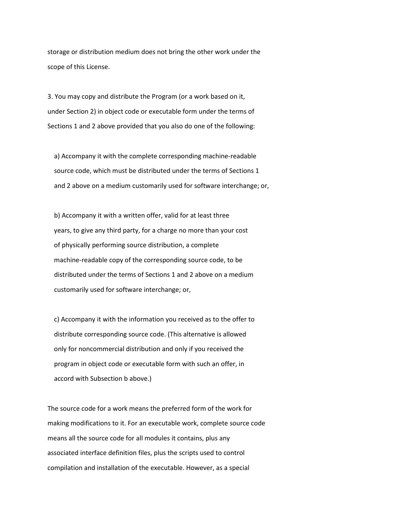storage or distribution medium does not bring the other work under the scope of this License.

3. You may copy and distribute the Program (or a work based on it, under Section 2) in object code or executable form under the terms of Sections 1 and 2 above provided that you also do one of the following:

 a) Accompany it with the complete corresponding machine-readable source code, which must be distributed under the terms of Sections 1 and 2 above on a medium customarily used for software interchange; or,

 b) Accompany it with a written offer, valid for at least three years, to give any third party, for a charge no more than your cost of physically performing source distribution, a complete machine-readable copy of the corresponding source code, to be distributed under the terms of Sections 1 and 2 above on a medium customarily used for software interchange; or,

 c) Accompany it with the information you received as to the offer to distribute corresponding source code. (This alternative is allowed only for noncommercial distribution and only if you received the program in object code or executable form with such an offer, in accord with Subsection b above.)

The source code for a work means the preferred form of the work for making modifications to it. For an executable work, complete source code means all the source code for all modules it contains, plus any associated interface definition files, plus the scripts used to control compilation and installation of the executable. However, as a special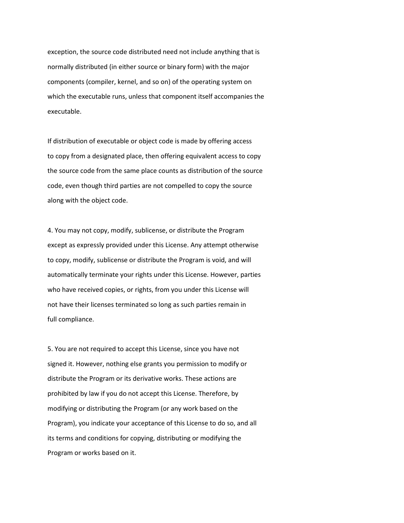exception, the source code distributed need not include anything that is normally distributed (in either source or binary form) with the major components (compiler, kernel, and so on) of the operating system on which the executable runs, unless that component itself accompanies the executable.

If distribution of executable or object code is made by offering access to copy from a designated place, then offering equivalent access to copy the source code from the same place counts as distribution of the source code, even though third parties are not compelled to copy the source along with the object code.

4. You may not copy, modify, sublicense, or distribute the Program except as expressly provided under this License. Any attempt otherwise to copy, modify, sublicense or distribute the Program is void, and will automatically terminate your rights under this License. However, parties who have received copies, or rights, from you under this License will not have their licenses terminated so long as such parties remain in full compliance.

5. You are not required to accept this License, since you have not signed it. However, nothing else grants you permission to modify or distribute the Program or its derivative works. These actions are prohibited by law if you do not accept this License. Therefore, by modifying or distributing the Program (or any work based on the Program), you indicate your acceptance of this License to do so, and all its terms and conditions for copying, distributing or modifying the Program or works based on it.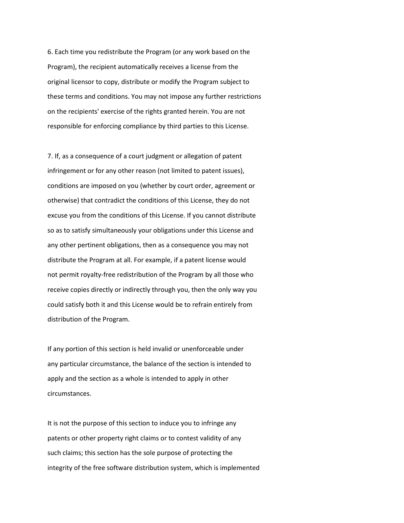6. Each time you redistribute the Program (or any work based on the Program), the recipient automatically receives a license from the original licensor to copy, distribute or modify the Program subject to these terms and conditions. You may not impose any further restrictions on the recipients' exercise of the rights granted herein. You are not responsible for enforcing compliance by third parties to this License.

7. If, as a consequence of a court judgment or allegation of patent infringement or for any other reason (not limited to patent issues), conditions are imposed on you (whether by court order, agreement or otherwise) that contradict the conditions of this License, they do not excuse you from the conditions of this License. If you cannot distribute so as to satisfy simultaneously your obligations under this License and any other pertinent obligations, then as a consequence you may not distribute the Program at all. For example, if a patent license would not permit royalty-free redistribution of the Program by all those who receive copies directly or indirectly through you, then the only way you could satisfy both it and this License would be to refrain entirely from distribution of the Program.

If any portion of this section is held invalid or unenforceable under any particular circumstance, the balance of the section is intended to apply and the section as a whole is intended to apply in other circumstances.

It is not the purpose of this section to induce you to infringe any patents or other property right claims or to contest validity of any such claims; this section has the sole purpose of protecting the integrity of the free software distribution system, which is implemented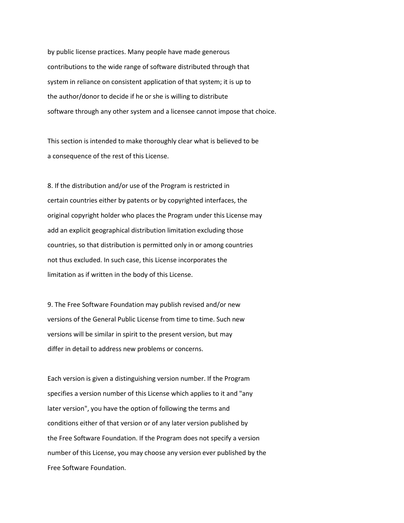by public license practices. Many people have made generous contributions to the wide range of software distributed through that system in reliance on consistent application of that system; it is up to the author/donor to decide if he or she is willing to distribute software through any other system and a licensee cannot impose that choice.

This section is intended to make thoroughly clear what is believed to be a consequence of the rest of this License.

8. If the distribution and/or use of the Program is restricted in certain countries either by patents or by copyrighted interfaces, the original copyright holder who places the Program under this License may add an explicit geographical distribution limitation excluding those countries, so that distribution is permitted only in or among countries not thus excluded. In such case, this License incorporates the limitation as if written in the body of this License.

9. The Free Software Foundation may publish revised and/or new versions of the General Public License from time to time. Such new versions will be similar in spirit to the present version, but may differ in detail to address new problems or concerns.

Each version is given a distinguishing version number. If the Program specifies a version number of this License which applies to it and "any later version", you have the option of following the terms and conditions either of that version or of any later version published by the Free Software Foundation. If the Program does not specify a version number of this License, you may choose any version ever published by the Free Software Foundation.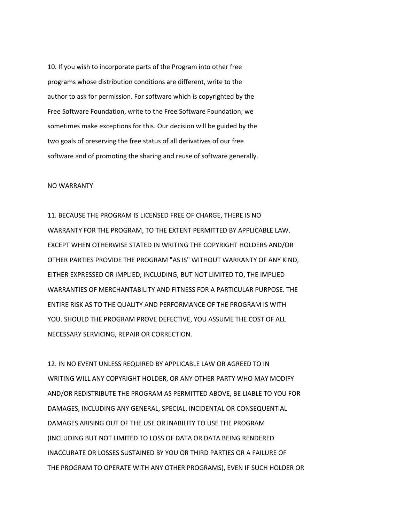10. If you wish to incorporate parts of the Program into other free programs whose distribution conditions are different, write to the author to ask for permission. For software which is copyrighted by the Free Software Foundation, write to the Free Software Foundation; we sometimes make exceptions for this. Our decision will be guided by the two goals of preserving the free status of all derivatives of our free software and of promoting the sharing and reuse of software generally.

#### NO WARRANTY

11. BECAUSE THE PROGRAM IS LICENSED FREE OF CHARGE, THERE IS NO WARRANTY FOR THE PROGRAM, TO THE EXTENT PERMITTED BY APPLICABLE LAW. EXCEPT WHEN OTHERWISE STATED IN WRITING THE COPYRIGHT HOLDERS AND/OR OTHER PARTIES PROVIDE THE PROGRAM "AS IS" WITHOUT WARRANTY OF ANY KIND, EITHER EXPRESSED OR IMPLIED, INCLUDING, BUT NOT LIMITED TO, THE IMPLIED WARRANTIES OF MERCHANTABILITY AND FITNESS FOR A PARTICULAR PURPOSE. THE ENTIRE RISK AS TO THE QUALITY AND PERFORMANCE OF THE PROGRAM IS WITH YOU. SHOULD THE PROGRAM PROVE DEFECTIVE, YOU ASSUME THE COST OF ALL NECESSARY SERVICING, REPAIR OR CORRECTION.

12. IN NO EVENT UNLESS REQUIRED BY APPLICABLE LAW OR AGREED TO IN WRITING WILL ANY COPYRIGHT HOLDER, OR ANY OTHER PARTY WHO MAY MODIFY AND/OR REDISTRIBUTE THE PROGRAM AS PERMITTED ABOVE, BE LIABLE TO YOU FOR DAMAGES, INCLUDING ANY GENERAL, SPECIAL, INCIDENTAL OR CONSEQUENTIAL DAMAGES ARISING OUT OF THE USE OR INABILITY TO USE THE PROGRAM (INCLUDING BUT NOT LIMITED TO LOSS OF DATA OR DATA BEING RENDERED INACCURATE OR LOSSES SUSTAINED BY YOU OR THIRD PARTIES OR A FAILURE OF THE PROGRAM TO OPERATE WITH ANY OTHER PROGRAMS), EVEN IF SUCH HOLDER OR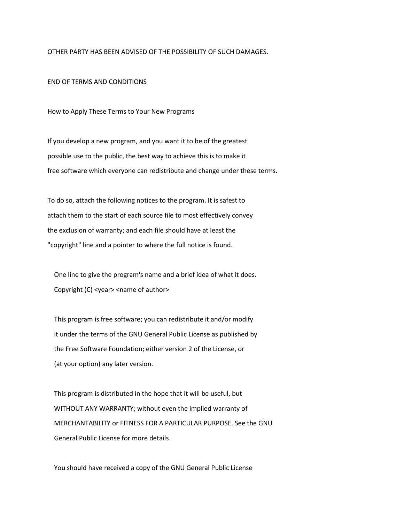OTHER PARTY HAS BEEN ADVISED OF THE POSSIBILITY OF SUCH DAMAGES.

## END OF TERMS AND CONDITIONS

How to Apply These Terms to Your New Programs

If you develop a new program, and you want it to be of the greatest possible use to the public, the best way to achieve this is to make it free software which everyone can redistribute and change under these terms.

To do so, attach the following notices to the program. It is safest to attach them to the start of each source file to most effectively convey the exclusion of warranty; and each file should have at least the "copyright" line and a pointer to where the full notice is found.

 One line to give the program's name and a brief idea of what it does. Copyright (C) <year> <name of author>

 This program is free software; you can redistribute it and/or modify it under the terms of the GNU General Public License as published by the Free Software Foundation; either version 2 of the License, or (at your option) any later version.

 This program is distributed in the hope that it will be useful, but WITHOUT ANY WARRANTY; without even the implied warranty of MERCHANTABILITY or FITNESS FOR A PARTICULAR PURPOSE. See the GNU General Public License for more details.

You should have received a copy of the GNU General Public License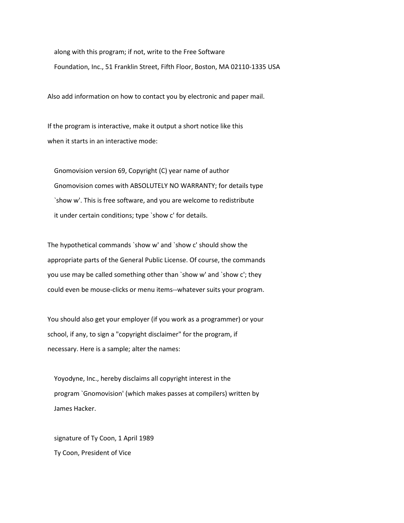along with this program; if not, write to the Free Software Foundation, Inc., 51 Franklin Street, Fifth Floor, Boston, MA 02110-1335 USA

Also add information on how to contact you by electronic and paper mail.

If the program is interactive, make it output a short notice like this when it starts in an interactive mode:

 Gnomovision version 69, Copyright (C) year name of author Gnomovision comes with ABSOLUTELY NO WARRANTY; for details type `show w'. This is free software, and you are welcome to redistribute it under certain conditions; type `show c' for details.

The hypothetical commands `show w' and `show c' should show the appropriate parts of the General Public License. Of course, the commands you use may be called something other than `show w' and `show c'; they could even be mouse-clicks or menu items--whatever suits your program.

You should also get your employer (if you work as a programmer) or your school, if any, to sign a "copyright disclaimer" for the program, if necessary. Here is a sample; alter the names:

 Yoyodyne, Inc., hereby disclaims all copyright interest in the program `Gnomovision' (which makes passes at compilers) written by James Hacker.

 signature of Ty Coon, 1 April 1989 Ty Coon, President of Vice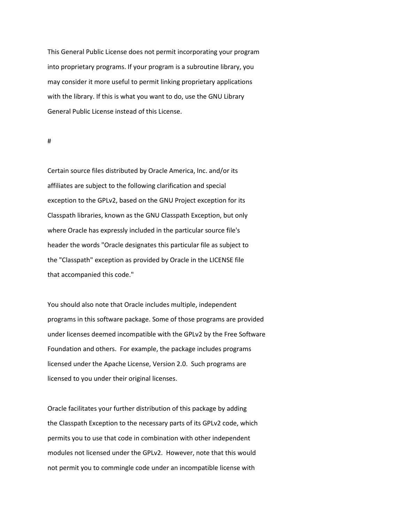This General Public License does not permit incorporating your program into proprietary programs. If your program is a subroutine library, you may consider it more useful to permit linking proprietary applications with the library. If this is what you want to do, use the GNU Library General Public License instead of this License.

#

Certain source files distributed by Oracle America, Inc. and/or its affiliates are subject to the following clarification and special exception to the GPLv2, based on the GNU Project exception for its Classpath libraries, known as the GNU Classpath Exception, but only where Oracle has expressly included in the particular source file's header the words "Oracle designates this particular file as subject to the "Classpath" exception as provided by Oracle in the LICENSE file that accompanied this code."

You should also note that Oracle includes multiple, independent programs in this software package. Some of those programs are provided under licenses deemed incompatible with the GPLv2 by the Free Software Foundation and others. For example, the package includes programs licensed under the Apache License, Version 2.0. Such programs are licensed to you under their original licenses.

Oracle facilitates your further distribution of this package by adding the Classpath Exception to the necessary parts of its GPLv2 code, which permits you to use that code in combination with other independent modules not licensed under the GPLv2. However, note that this would not permit you to commingle code under an incompatible license with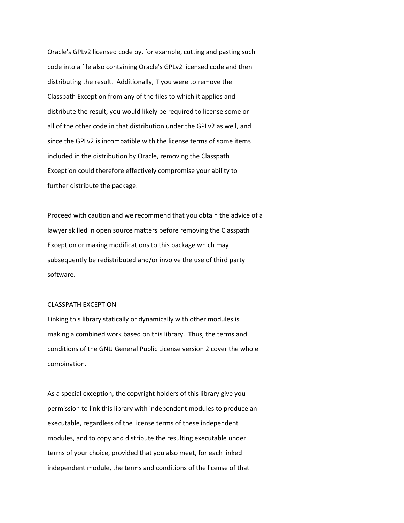Oracle's GPLv2 licensed code by, for example, cutting and pasting such code into a file also containing Oracle's GPLv2 licensed code and then distributing the result. Additionally, if you were to remove the Classpath Exception from any of the files to which it applies and distribute the result, you would likely be required to license some or all of the other code in that distribution under the GPLv2 as well, and since the GPLv2 is incompatible with the license terms of some items included in the distribution by Oracle, removing the Classpath Exception could therefore effectively compromise your ability to further distribute the package.

Proceed with caution and we recommend that you obtain the advice of a lawyer skilled in open source matters before removing the Classpath Exception or making modifications to this package which may subsequently be redistributed and/or involve the use of third party software.

# CLASSPATH EXCEPTION

Linking this library statically or dynamically with other modules is making a combined work based on this library. Thus, the terms and conditions of the GNU General Public License version 2 cover the whole combination.

As a special exception, the copyright holders of this library give you permission to link this library with independent modules to produce an executable, regardless of the license terms of these independent modules, and to copy and distribute the resulting executable under terms of your choice, provided that you also meet, for each linked independent module, the terms and conditions of the license of that